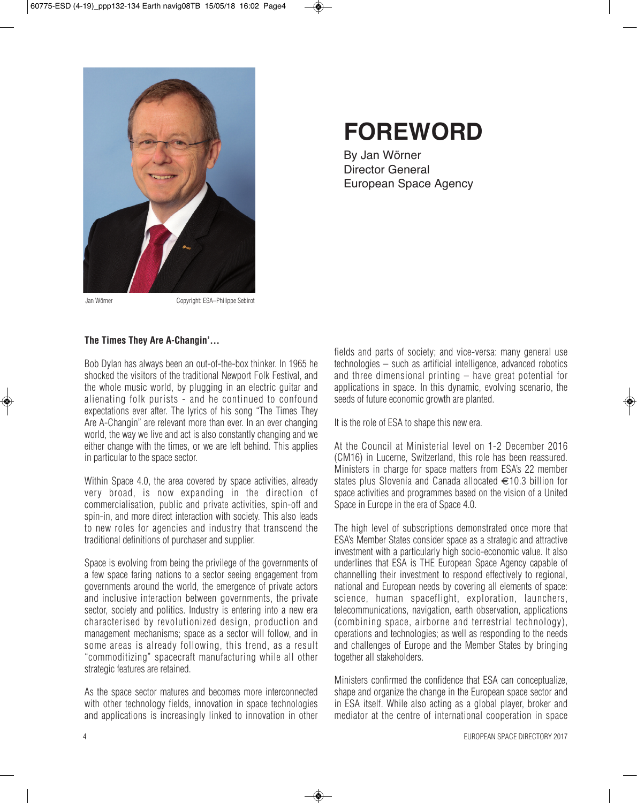

## **FOREWORD**

By Jan Wörner Director General European Space Agency

## **The Times They Are A-Changin'…**

*Bob Dylan has always been an out-of-the-box thinker. In 1965 he shocked the visitors of the traditional Newport Folk Festival, and the whole music world, by plugging in an electric guitar and alienating folk purists - and he continued to confound expectations ever after. The lyrics of his song "The Times They Are A-Changin" are relevant more than ever. In an ever changing world, the way we live and act is also constantly changing and we either change with the times, or we are left behind. This applies in particular to the space sector.*

*Within Space 4.0, the area covered by space activities, already very broad, is now expanding in the direction of commercialisation, public and private activities, spin-off and spin-in, and more direct interaction with society. This also leads to new roles for agencies and industry that transcend the traditional definitions of purchaser and supplier.*

*Space is evolving from being the privilege of the governments of a few space faring nations to a sector seeing engagement from governments around the world, the emergence of private actors and inclusive interaction between governments, the private sector, society and politics. Industry is entering into a new era characterised by revolutionized design, production and management mechanisms; space as a sector will follow, and in some areas is already following, this trend, as a result "commoditizing" spacecraft manufacturing while all other strategic features are retained.*

*As the space sector matures and becomes more interconnected with other technology fields, innovation in space technologies and applications is increasingly linked to innovation in other* *fields and parts of society; and vice-versa: many general use technologies – such as artificial intelligence, advanced robotics and three dimensional printing – have great potential for applications in space. In this dynamic, evolving scenario, the seeds of future economic growth are planted.*

*It is the role of ESA to shape this new era.*

*At the Council at Ministerial level on 1-2 December 2016 (CM16) in Lucerne, Switzerland, this role has been reassured. Ministers in charge for space matters from ESA's 22 member states plus Slovenia and Canada allocated* €*10.3 billion for space activities and programmes based on the vision of a United Space in Europe in the era of Space 4.0.* 

*The high level of subscriptions demonstrated once more that ESA's Member States consider space as a strategic and attractive investment with a particularly high socio-economic value. It also underlines that ESA is THE European Space Agency capable of channelling their investment to respond effectively to regional, national and European needs by covering all elements of space: science, human spaceflight, exploration, launchers, telecommunications, navigation, earth observation, applications (combining space, airborne and terrestrial technology), operations and technologies; as well as responding to the needs and challenges of Europe and the Member States by bringing together all stakeholders.* 

*Ministers confirmed the confidence that ESA can conceptualize, shape and organize the change in the European space sector and in ESA itself. While also acting as a global player, broker and mediator at the centre of international cooperation in space*